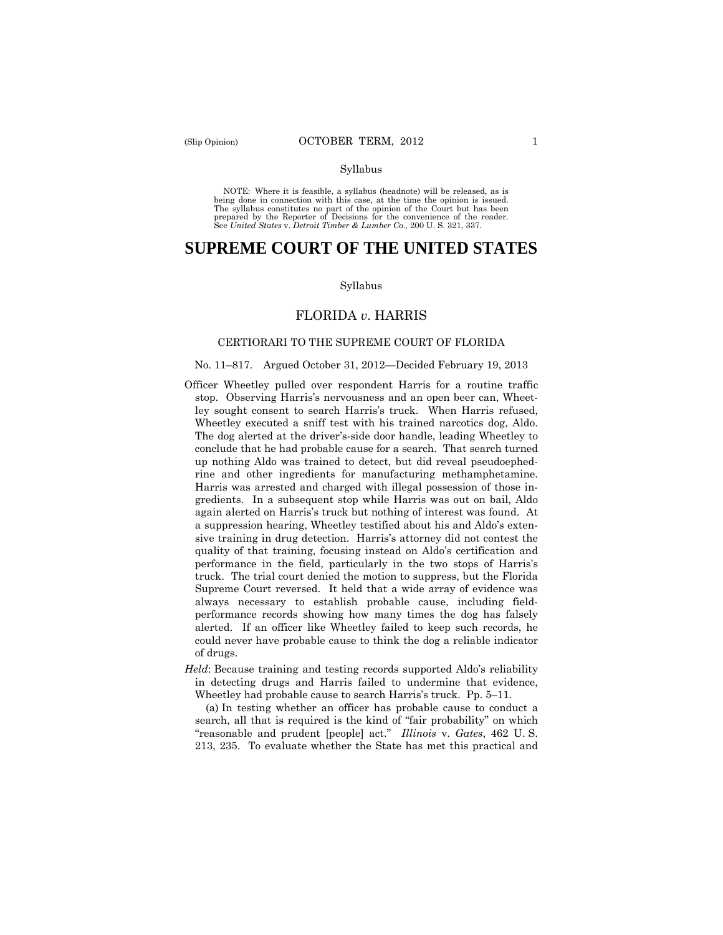#### Syllabus

 NOTE: Where it is feasible, a syllabus (headnote) will be released, as is being done in connection with this case, at the time the opinion is issued. The syllabus constitutes no part of the opinion of the Court but has been<br>prepared by the Reporter of Decisions for the convenience of the reader.<br>See United States v. Detroit Timber & Lumber Co., 200 U. S. 321, 337.

# **SUPREME COURT OF THE UNITED STATES**

#### Syllabus

## FLORIDA *v*. HARRIS

#### CERTIORARI TO THE SUPREME COURT OF FLORIDA

#### No. 11–817. Argued October 31, 2012—Decided February 19, 2013

- Supreme Court reversed. It held that a wide array of evidence was Officer Wheetley pulled over respondent Harris for a routine traffic stop. Observing Harris's nervousness and an open beer can, Wheetley sought consent to search Harris's truck. When Harris refused, Wheetley executed a sniff test with his trained narcotics dog, Aldo. The dog alerted at the driver's-side door handle, leading Wheetley to conclude that he had probable cause for a search. That search turned up nothing Aldo was trained to detect, but did reveal pseudoephedrine and other ingredients for manufacturing methamphetamine. Harris was arrested and charged with illegal possession of those ingredients. In a subsequent stop while Harris was out on bail, Aldo again alerted on Harris's truck but nothing of interest was found. At a suppression hearing, Wheetley testified about his and Aldo's extensive training in drug detection. Harris's attorney did not contest the quality of that training, focusing instead on Aldo's certification and performance in the field, particularly in the two stops of Harris's truck. The trial court denied the motion to suppress, but the Florida always necessary to establish probable cause, including fieldperformance records showing how many times the dog has falsely alerted. If an officer like Wheetley failed to keep such records, he could never have probable cause to think the dog a reliable indicator of drugs.
- *Held*: Because training and testing records supported Aldo's reliability in detecting drugs and Harris failed to undermine that evidence, Wheetley had probable cause to search Harris's truck. Pp. 5–11.

(a) In testing whether an officer has probable cause to conduct a search, all that is required is the kind of "fair probability" on which "reasonable and prudent [people] act." *Illinois* v. *Gates*, 462 U. S. 213, 235. To evaluate whether the State has met this practical and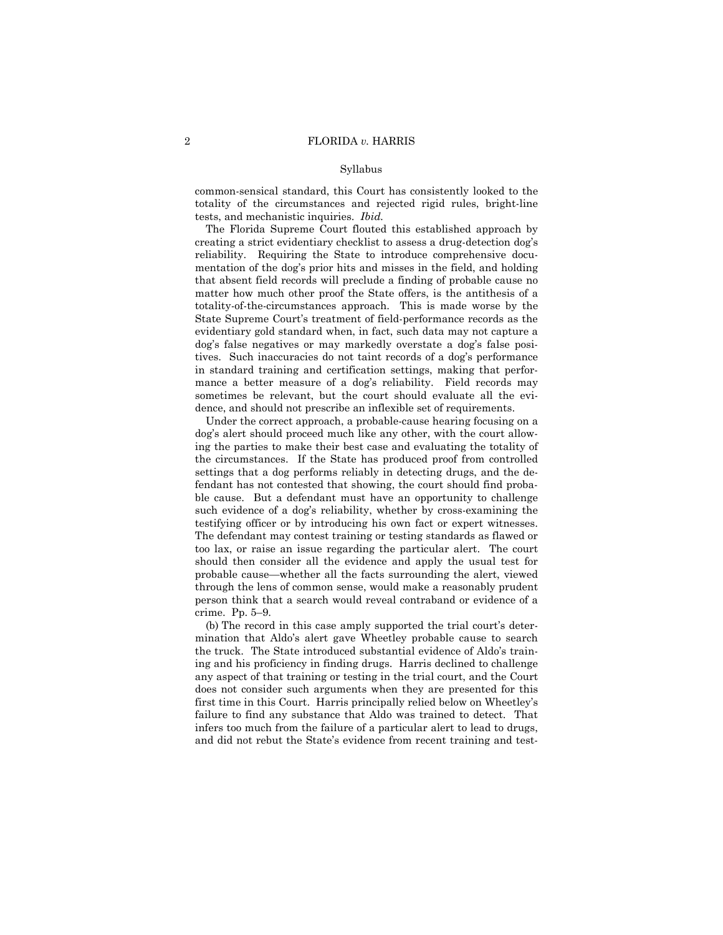#### Syllabus

common-sensical standard, this Court has consistently looked to the totality of the circumstances and rejected rigid rules, bright-line tests, and mechanistic inquiries. *Ibid.* 

The Florida Supreme Court flouted this established approach by creating a strict evidentiary checklist to assess a drug-detection dog's reliability. Requiring the State to introduce comprehensive documentation of the dog's prior hits and misses in the field, and holding that absent field records will preclude a finding of probable cause no matter how much other proof the State offers, is the antithesis of a totality-of-the-circumstances approach. This is made worse by the State Supreme Court's treatment of field-performance records as the evidentiary gold standard when, in fact, such data may not capture a dog's false negatives or may markedly overstate a dog's false positives. Such inaccuracies do not taint records of a dog's performance in standard training and certification settings, making that performance a better measure of a dog's reliability. Field records may sometimes be relevant, but the court should evaluate all the evidence, and should not prescribe an inflexible set of requirements.

Under the correct approach, a probable-cause hearing focusing on a dog's alert should proceed much like any other, with the court allowing the parties to make their best case and evaluating the totality of the circumstances. If the State has produced proof from controlled settings that a dog performs reliably in detecting drugs, and the defendant has not contested that showing, the court should find probable cause. But a defendant must have an opportunity to challenge such evidence of a dog's reliability, whether by cross-examining the testifying officer or by introducing his own fact or expert witnesses. The defendant may contest training or testing standards as flawed or too lax, or raise an issue regarding the particular alert. The court should then consider all the evidence and apply the usual test for probable cause—whether all the facts surrounding the alert, viewed through the lens of common sense, would make a reasonably prudent person think that a search would reveal contraband or evidence of a crime. Pp. 5–9.

(b) The record in this case amply supported the trial court's determination that Aldo's alert gave Wheetley probable cause to search the truck. The State introduced substantial evidence of Aldo's training and his proficiency in finding drugs. Harris declined to challenge any aspect of that training or testing in the trial court, and the Court does not consider such arguments when they are presented for this first time in this Court. Harris principally relied below on Wheetley's failure to find any substance that Aldo was trained to detect. That infers too much from the failure of a particular alert to lead to drugs, and did not rebut the State's evidence from recent training and test-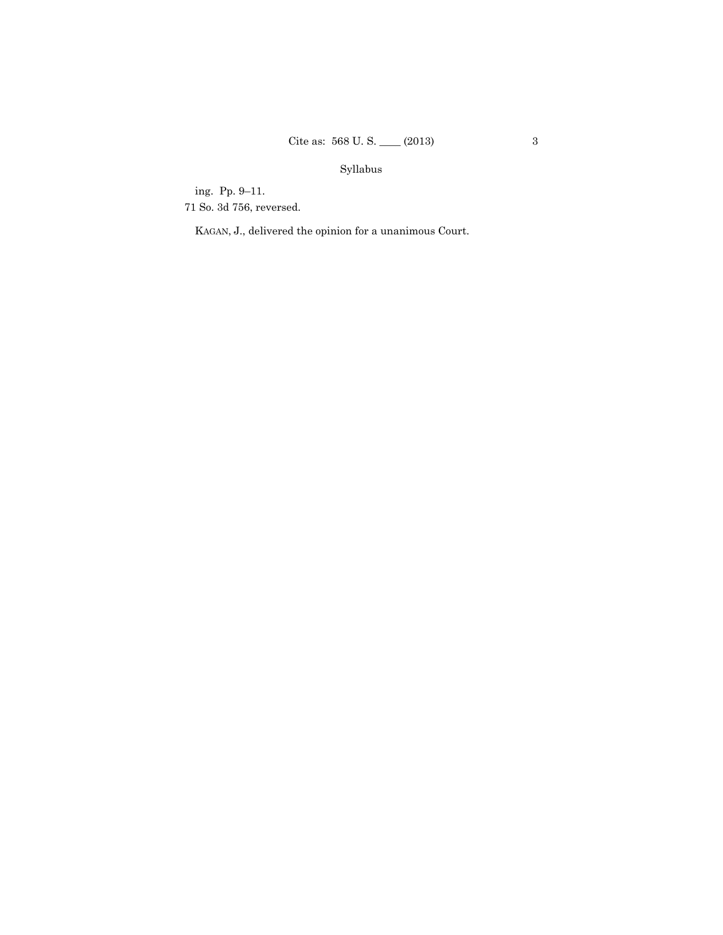## Syllabus

ing. Pp. 9–11. 71 So. 3d 756, reversed.

KAGAN, J., delivered the opinion for a unanimous Court.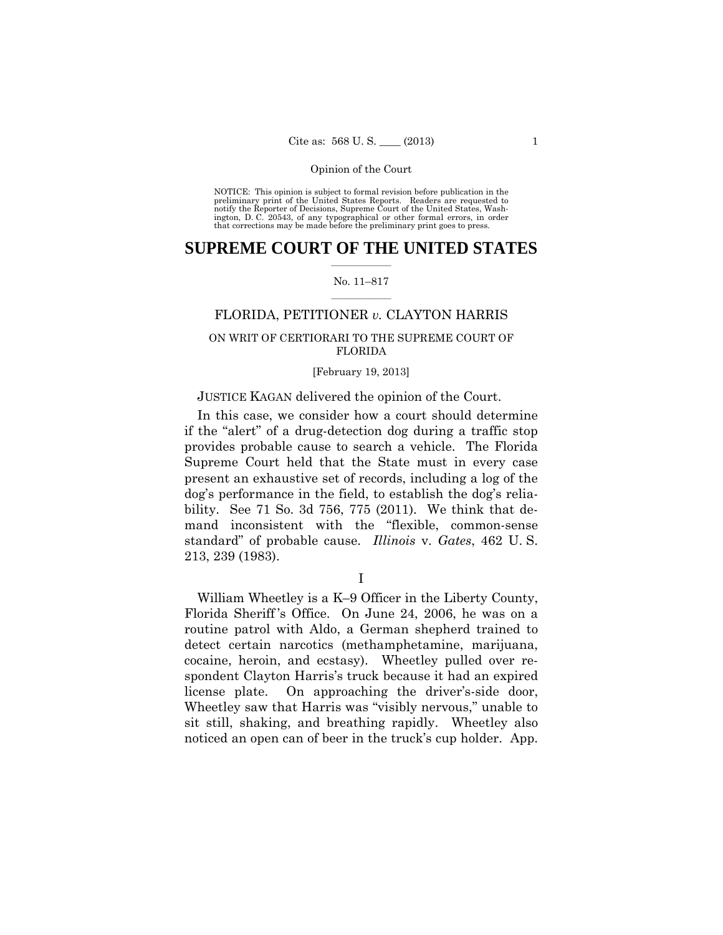preliminary print of the United States Reports. Readers are requested to notify the Reporter of Decisions, Supreme Court of the United States, Wash- ington, D. C. 20543, of any typographical or other formal errors, in order that corrections may be made before the preliminary print goes to press. NOTICE: This opinion is subject to formal revision before publication in the

## $\frac{1}{2}$  ,  $\frac{1}{2}$  ,  $\frac{1}{2}$  ,  $\frac{1}{2}$  ,  $\frac{1}{2}$  ,  $\frac{1}{2}$  ,  $\frac{1}{2}$ **SUPREME COURT OF THE UNITED STATES**

#### $\frac{1}{2}$  ,  $\frac{1}{2}$  ,  $\frac{1}{2}$  ,  $\frac{1}{2}$  ,  $\frac{1}{2}$  ,  $\frac{1}{2}$ No. 11–817

## FLORIDA, PETITIONER *v.* CLAYTON HARRIS

## ON WRIT OF CERTIORARI TO THE SUPREME COURT OF FLORIDA

#### [February 19, 2013]

## JUSTICE KAGAN delivered the opinion of the Court.

In this case, we consider how a court should determine if the "alert" of a drug-detection dog during a traffic stop provides probable cause to search a vehicle. The Florida Supreme Court held that the State must in every case present an exhaustive set of records, including a log of the dog's performance in the field, to establish the dog's reliability. See 71 So. 3d 756, 775 (2011). We think that demand inconsistent with the "flexible, common-sense standard" of probable cause. *Illinois* v. *Gates*, 462 U. S. 213, 239 (1983).

I

William Wheetley is a K–9 Officer in the Liberty County, Florida Sheriff 's Office. On June 24, 2006, he was on a routine patrol with Aldo, a German shepherd trained to detect certain narcotics (methamphetamine, marijuana, cocaine, heroin, and ecstasy). Wheetley pulled over respondent Clayton Harris's truck because it had an expired license plate. On approaching the driver's-side door, Wheetley saw that Harris was "visibly nervous," unable to sit still, shaking, and breathing rapidly. Wheetley also noticed an open can of beer in the truck's cup holder. App.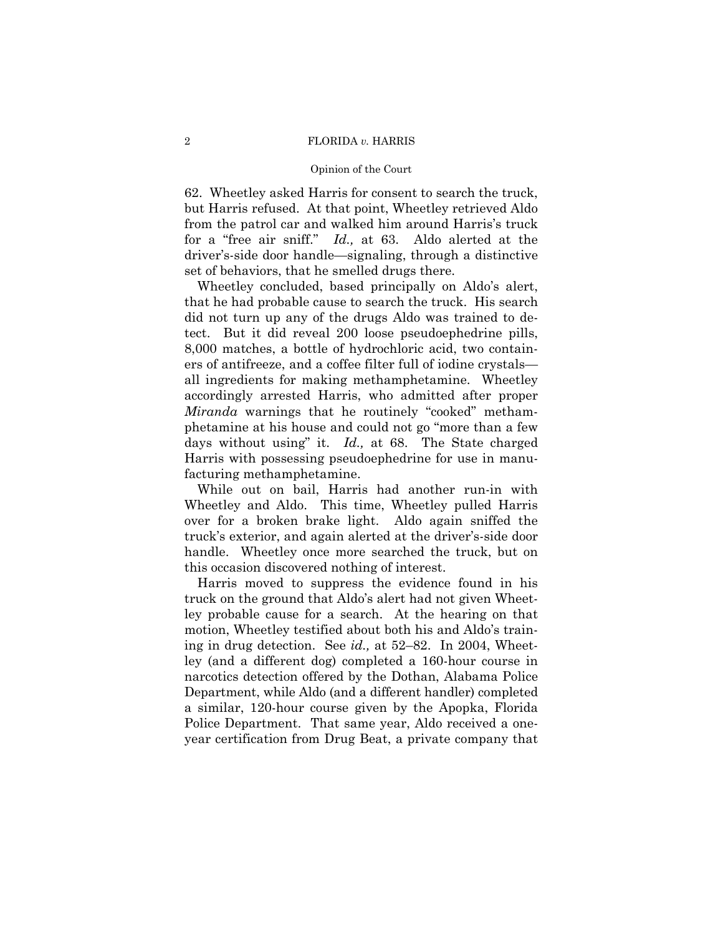#### Opinion of the Court

62. Wheetley asked Harris for consent to search the truck, but Harris refused. At that point, Wheetley retrieved Aldo from the patrol car and walked him around Harris's truck for a "free air sniff." *Id.,* at 63. Aldo alerted at the driver's-side door handle—signaling, through a distinctive set of behaviors, that he smelled drugs there.

Wheetley concluded, based principally on Aldo's alert, that he had probable cause to search the truck. His search did not turn up any of the drugs Aldo was trained to detect. But it did reveal 200 loose pseudoephedrine pills, 8,000 matches, a bottle of hydrochloric acid, two containers of antifreeze, and a coffee filter full of iodine crystals all ingredients for making methamphetamine. Wheetley accordingly arrested Harris, who admitted after proper *Miranda* warnings that he routinely "cooked" methamphetamine at his house and could not go "more than a few days without using" it. *Id.,* at 68. The State charged Harris with possessing pseudoephedrine for use in manufacturing methamphetamine.

While out on bail, Harris had another run-in with Wheetley and Aldo. This time, Wheetley pulled Harris over for a broken brake light. Aldo again sniffed the truck's exterior, and again alerted at the driver's-side door handle. Wheetley once more searched the truck, but on this occasion discovered nothing of interest.

Harris moved to suppress the evidence found in his truck on the ground that Aldo's alert had not given Wheetley probable cause for a search. At the hearing on that motion, Wheetley testified about both his and Aldo's training in drug detection. See *id.,* at 52–82. In 2004, Wheetley (and a different dog) completed a 160-hour course in narcotics detection offered by the Dothan, Alabama Police Department, while Aldo (and a different handler) completed a similar, 120-hour course given by the Apopka, Florida Police Department. That same year, Aldo received a oneyear certification from Drug Beat, a private company that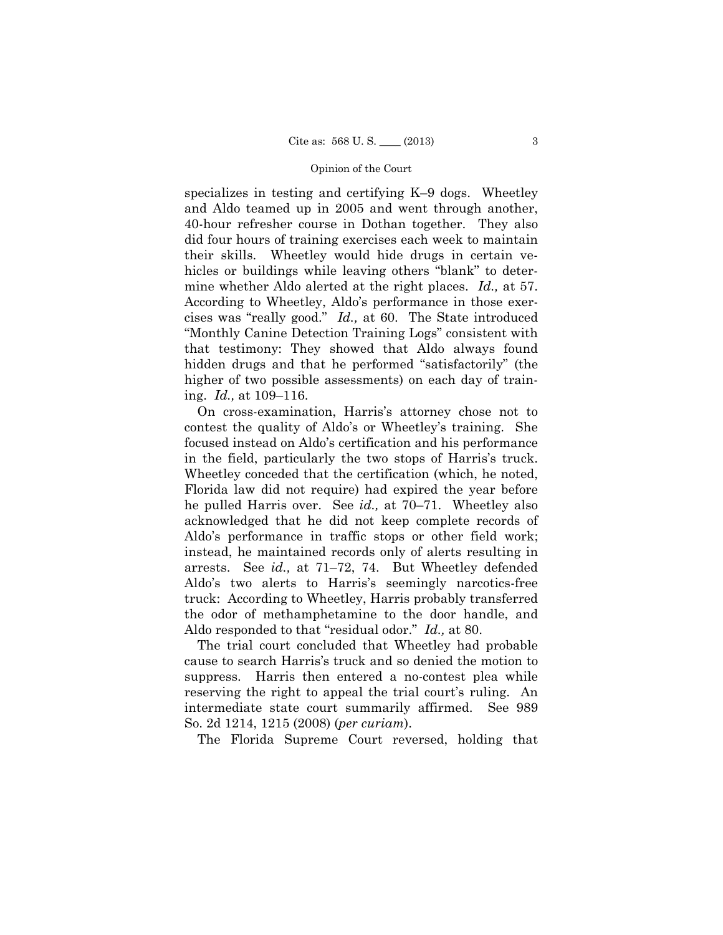specializes in testing and certifying K–9 dogs. Wheetley and Aldo teamed up in 2005 and went through another, 40-hour refresher course in Dothan together. They also did four hours of training exercises each week to maintain their skills. Wheetley would hide drugs in certain vehicles or buildings while leaving others "blank" to determine whether Aldo alerted at the right places. *Id.*, at 57. According to Wheetley, Aldo's performance in those exercises was "really good." *Id.,* at 60. The State introduced "Monthly Canine Detection Training Logs" consistent with that testimony: They showed that Aldo always found hidden drugs and that he performed "satisfactorily" (the higher of two possible assessments) on each day of training. *Id.,* at 109–116.

On cross-examination, Harris's attorney chose not to contest the quality of Aldo's or Wheetley's training. She focused instead on Aldo's certification and his performance in the field, particularly the two stops of Harris's truck. Wheetley conceded that the certification (which, he noted, Florida law did not require) had expired the year before he pulled Harris over. See *id.,* at 70–71. Wheetley also acknowledged that he did not keep complete records of Aldo's performance in traffic stops or other field work; instead, he maintained records only of alerts resulting in arrests. See *id.,* at 71–72, 74. But Wheetley defended Aldo's two alerts to Harris's seemingly narcotics-free truck: According to Wheetley, Harris probably transferred the odor of methamphetamine to the door handle, and Aldo responded to that "residual odor." *Id.,* at 80.

The trial court concluded that Wheetley had probable cause to search Harris's truck and so denied the motion to suppress. Harris then entered a no-contest plea while reserving the right to appeal the trial court's ruling. An intermediate state court summarily affirmed. See 989 So. 2d 1214, 1215 (2008) (*per curiam*).

The Florida Supreme Court reversed, holding that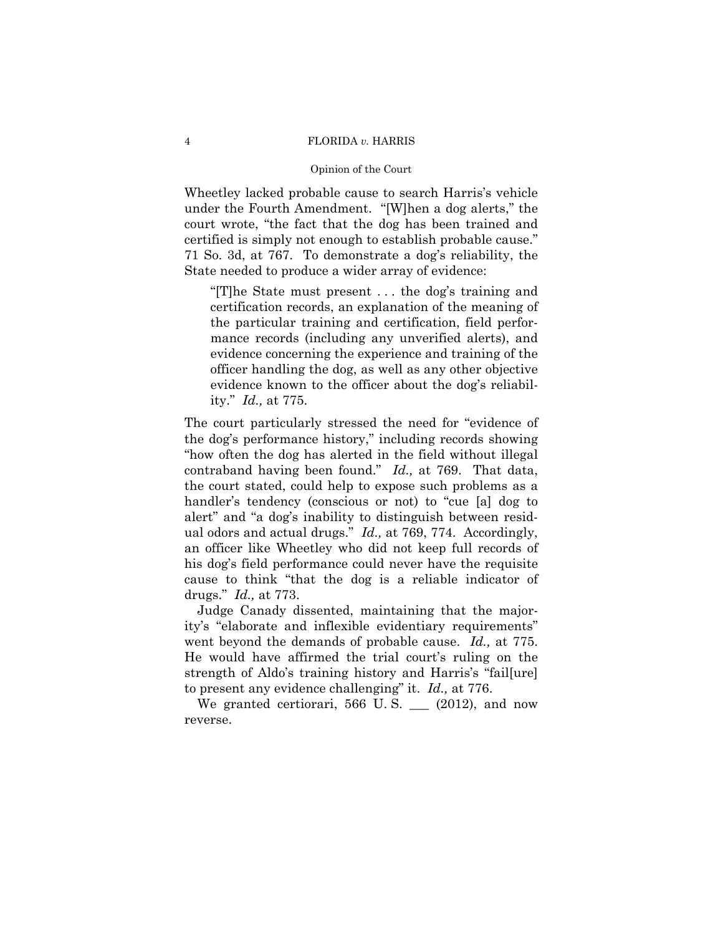#### Opinion of the Court

Wheetley lacked probable cause to search Harris's vehicle under the Fourth Amendment. "[W]hen a dog alerts," the court wrote, "the fact that the dog has been trained and certified is simply not enough to establish probable cause." 71 So. 3d, at 767. To demonstrate a dog's reliability, the State needed to produce a wider array of evidence:

"[T]he State must present . . . the dog's training and certification records, an explanation of the meaning of the particular training and certification, field performance records (including any unverified alerts), and evidence concerning the experience and training of the officer handling the dog, as well as any other objective evidence known to the officer about the dog's reliability." *Id.,* at 775.

The court particularly stressed the need for "evidence of the dog's performance history," including records showing "how often the dog has alerted in the field without illegal contraband having been found." *Id.,* at 769. That data, the court stated, could help to expose such problems as a handler's tendency (conscious or not) to "cue [a] dog to alert" and "a dog's inability to distinguish between residual odors and actual drugs." *Id.,* at 769, 774. Accordingly, an officer like Wheetley who did not keep full records of his dog's field performance could never have the requisite cause to think "that the dog is a reliable indicator of drugs." *Id.,* at 773.

 went beyond the demands of probable cause. *Id.,* at 775. Judge Canady dissented, maintaining that the majority's "elaborate and inflexible evidentiary requirements" He would have affirmed the trial court's ruling on the strength of Aldo's training history and Harris's "fail[ure] to present any evidence challenging" it. *Id.,* at 776.

We granted certiorari, 566 U.S.  $\_\_$  (2012), and now reverse.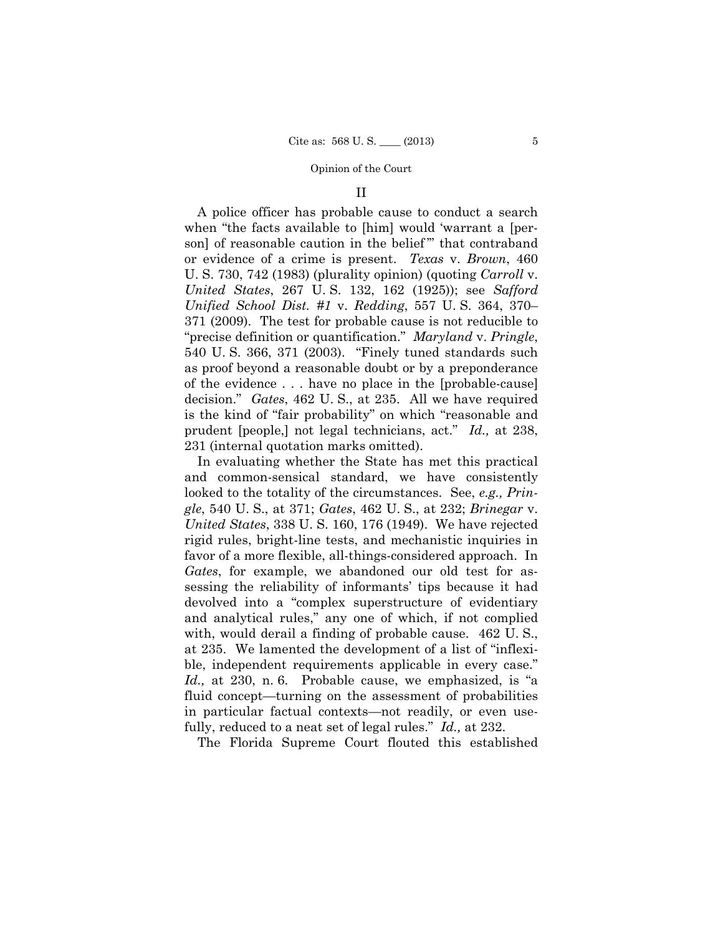## II

 or evidence of a crime is present. *Texas* v. *Brown*, 460 A police officer has probable cause to conduct a search when "the facts available to [him] would 'warrant a [person] of reasonable caution in the belief" that contraband U. S. 730, 742 (1983) (plurality opinion) (quoting *Carroll* v. *United States*, 267 U. S. 132, 162 (1925)); see *Safford Unified School Dist. #1* v. *Redding*, 557 U. S. 364, 370– 371 (2009). The test for probable cause is not reducible to "precise definition or quantification." *Maryland* v. *Pringle*, 540 U. S. 366, 371 (2003). "Finely tuned standards such as proof beyond a reasonable doubt or by a preponderance of the evidence . . . have no place in the [probable-cause] decision." *Gates*, 462 U. S., at 235. All we have required is the kind of "fair probability" on which "reasonable and prudent [people,] not legal technicians, act." *Id.,* at 238, 231 (internal quotation marks omitted).

In evaluating whether the State has met this practical and common-sensical standard, we have consistently looked to the totality of the circumstances. See, *e.g., Pringle*, 540 U. S., at 371; *Gates*, 462 U. S., at 232; *Brinegar* v. *United States*, 338 U. S. 160, 176 (1949). We have rejected rigid rules, bright-line tests, and mechanistic inquiries in favor of a more flexible, all-things-considered approach. In *Gates*, for example, we abandoned our old test for assessing the reliability of informants' tips because it had devolved into a "complex superstructure of evidentiary and analytical rules," any one of which, if not complied with, would derail a finding of probable cause. 462 U. S., at 235. We lamented the development of a list of "inflexible, independent requirements applicable in every case." *Id.,* at 230, n. 6. Probable cause, we emphasized, is "a fluid concept—turning on the assessment of probabilities in particular factual contexts—not readily, or even usefully, reduced to a neat set of legal rules." *Id.,* at 232.

The Florida Supreme Court flouted this established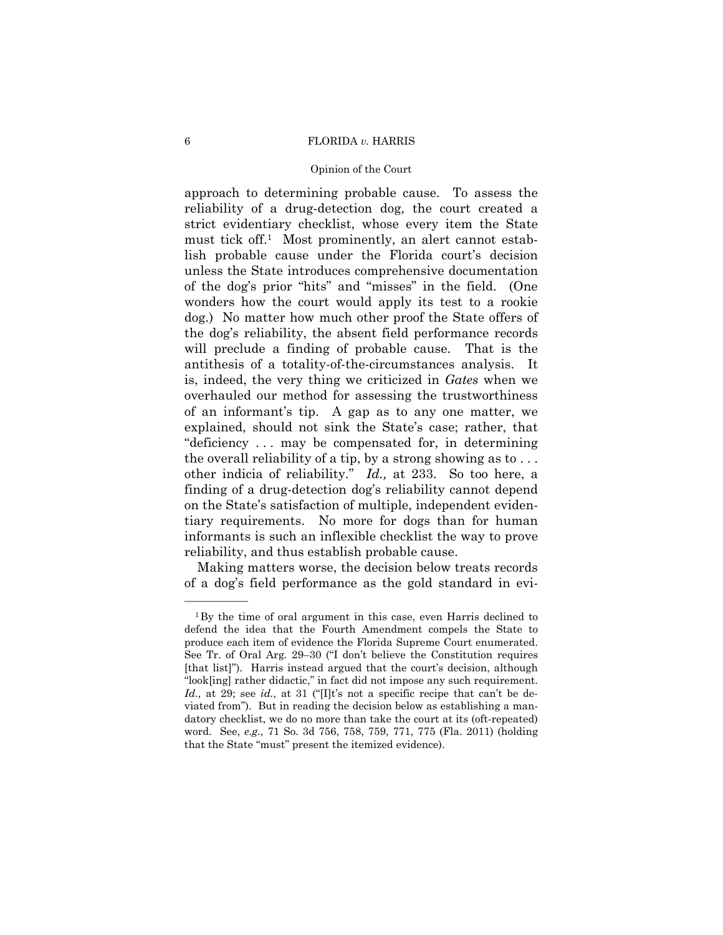#### Opinion of the Court

approach to determining probable cause. To assess the reliability of a drug-detection dog, the court created a strict evidentiary checklist, whose every item the State must tick off.<sup>1</sup> Most prominently, an alert cannot establish probable cause under the Florida court's decision unless the State introduces comprehensive documentation of the dog's prior "hits" and "misses" in the field. (One wonders how the court would apply its test to a rookie dog.) No matter how much other proof the State offers of the dog's reliability, the absent field performance records will preclude a finding of probable cause. That is the antithesis of a totality-of-the-circumstances analysis. It is, indeed, the very thing we criticized in *Gates* when we overhauled our method for assessing the trustworthiness of an informant's tip. A gap as to any one matter, we explained, should not sink the State's case; rather, that "deficiency . . . may be compensated for, in determining the overall reliability of a tip, by a strong showing as to . . . other indicia of reliability." *Id.,* at 233. So too here, a finding of a drug-detection dog's reliability cannot depend on the State's satisfaction of multiple, independent evidentiary requirements. No more for dogs than for human informants is such an inflexible checklist the way to prove reliability, and thus establish probable cause.

Making matters worse, the decision below treats records of a dog's field performance as the gold standard in evi-

——————

 produce each item of evidence the Florida Supreme Court enumerated. 1By the time of oral argument in this case, even Harris declined to defend the idea that the Fourth Amendment compels the State to See Tr. of Oral Arg. 29–30 ("I don't believe the Constitution requires [that list]"). Harris instead argued that the court's decision, although "look[ing] rather didactic," in fact did not impose any such requirement. *Id.*, at 29; see *id.*, at 31 ("IIt's not a specific recipe that can't be deviated from"). But in reading the decision below as establishing a mandatory checklist, we do no more than take the court at its (oft-repeated) word. See, *e.g.,* 71 So. 3d 756, 758, 759, 771, 775 (Fla. 2011) (holding that the State "must" present the itemized evidence).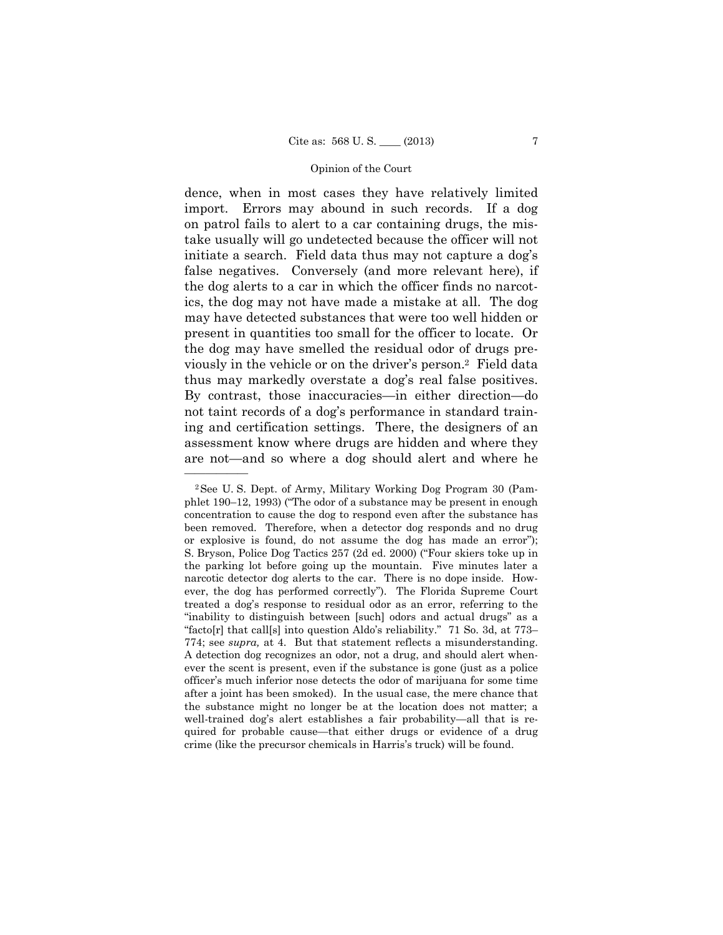dence, when in most cases they have relatively limited import. Errors may abound in such records. If a dog on patrol fails to alert to a car containing drugs, the mistake usually will go undetected because the officer will not initiate a search. Field data thus may not capture a dog's false negatives. Conversely (and more relevant here), if the dog alerts to a car in which the officer finds no narcotics, the dog may not have made a mistake at all. The dog may have detected substances that were too well hidden or present in quantities too small for the officer to locate. Or the dog may have smelled the residual odor of drugs previously in the vehicle or on the driver's person.2 Field data thus may markedly overstate a dog's real false positives. By contrast, those inaccuracies—in either direction—do not taint records of a dog's performance in standard training and certification settings. There, the designers of an assessment know where drugs are hidden and where they are not—and so where a dog should alert and where he

——————

<sup>2</sup>See U. S. Dept. of Army, Military Working Dog Program 30 (Pamphlet 190–12, 1993) ("The odor of a substance may be present in enough concentration to cause the dog to respond even after the substance has been removed. Therefore, when a detector dog responds and no drug or explosive is found, do not assume the dog has made an error"); S. Bryson, Police Dog Tactics 257 (2d ed. 2000) ("Four skiers toke up in the parking lot before going up the mountain. Five minutes later a narcotic detector dog alerts to the car. There is no dope inside. However, the dog has performed correctly"). The Florida Supreme Court treated a dog's response to residual odor as an error, referring to the "inability to distinguish between [such] odors and actual drugs" as a "facto[r] that call[s] into question Aldo's reliability." 71 So. 3d, at 773– 774; see *supra,* at 4. But that statement reflects a misunderstanding. A detection dog recognizes an odor, not a drug, and should alert whenever the scent is present, even if the substance is gone (just as a police officer's much inferior nose detects the odor of marijuana for some time after a joint has been smoked). In the usual case, the mere chance that the substance might no longer be at the location does not matter; a well-trained dog's alert establishes a fair probability—all that is required for probable cause—that either drugs or evidence of a drug crime (like the precursor chemicals in Harris's truck) will be found.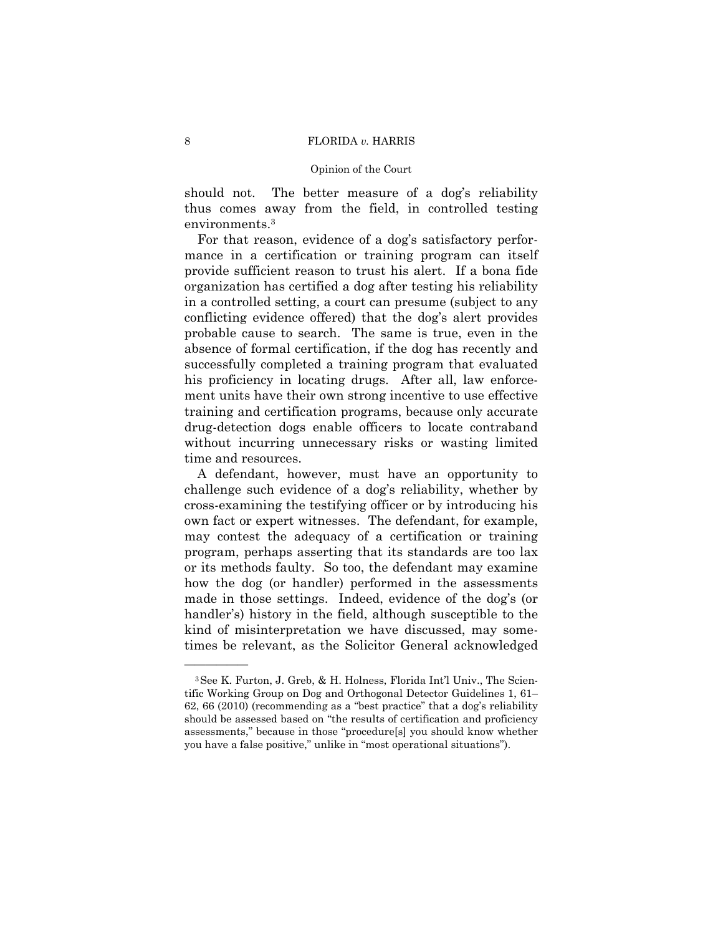should not. The better measure of a dog's reliability thus comes away from the field, in controlled testing environments.3

For that reason, evidence of a dog's satisfactory performance in a certification or training program can itself provide sufficient reason to trust his alert. If a bona fide organization has certified a dog after testing his reliability in a controlled setting, a court can presume (subject to any conflicting evidence offered) that the dog's alert provides probable cause to search. The same is true, even in the absence of formal certification, if the dog has recently and successfully completed a training program that evaluated his proficiency in locating drugs. After all, law enforcement units have their own strong incentive to use effective training and certification programs, because only accurate drug-detection dogs enable officers to locate contraband without incurring unnecessary risks or wasting limited time and resources.

A defendant, however, must have an opportunity to challenge such evidence of a dog's reliability, whether by cross-examining the testifying officer or by introducing his own fact or expert witnesses. The defendant, for example, may contest the adequacy of a certification or training program, perhaps asserting that its standards are too lax or its methods faulty. So too, the defendant may examine how the dog (or handler) performed in the assessments made in those settings. Indeed, evidence of the dog's (or handler's) history in the field, although susceptible to the kind of misinterpretation we have discussed, may sometimes be relevant, as the Solicitor General acknowledged

——————

<sup>3</sup>See K. Furton, J. Greb, & H. Holness, Florida Int'l Univ., The Scientific Working Group on Dog and Orthogonal Detector Guidelines 1, 61– 62, 66 (2010) (recommending as a "best practice" that a dog's reliability should be assessed based on "the results of certification and proficiency assessments," because in those "procedure[s] you should know whether you have a false positive," unlike in "most operational situations").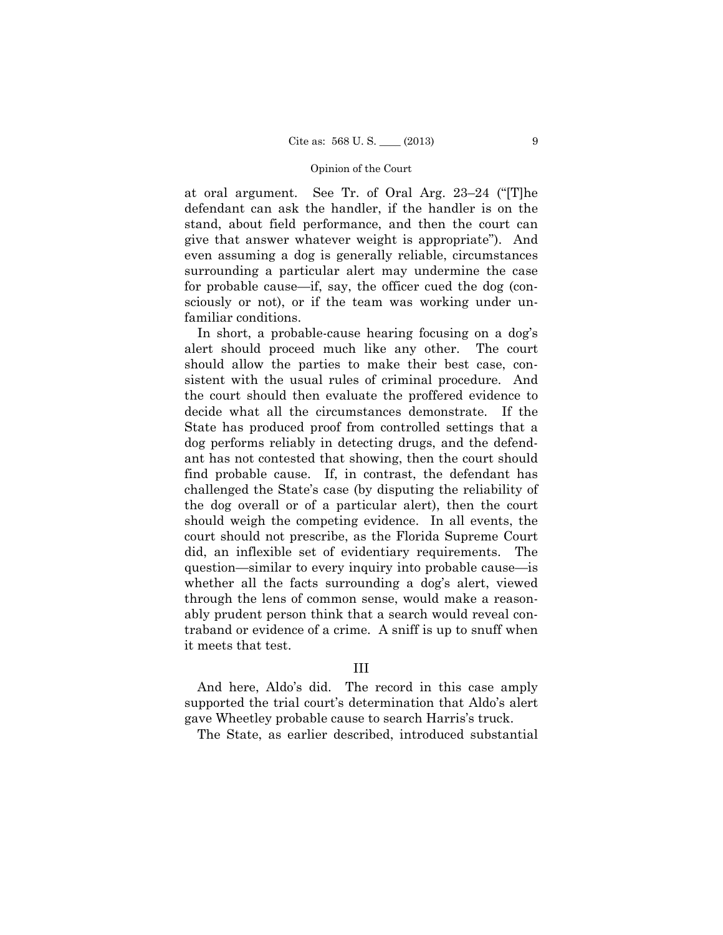at oral argument. See Tr. of Oral Arg. 23–24 ("[T]he defendant can ask the handler, if the handler is on the stand, about field performance, and then the court can give that answer whatever weight is appropriate"). And even assuming a dog is generally reliable, circumstances surrounding a particular alert may undermine the case for probable cause—if, say, the officer cued the dog (consciously or not), or if the team was working under unfamiliar conditions.

 find probable cause. If, in contrast, the defendant has In short, a probable-cause hearing focusing on a dog's alert should proceed much like any other. The court should allow the parties to make their best case, consistent with the usual rules of criminal procedure. And the court should then evaluate the proffered evidence to decide what all the circumstances demonstrate. If the State has produced proof from controlled settings that a dog performs reliably in detecting drugs, and the defendant has not contested that showing, then the court should challenged the State's case (by disputing the reliability of the dog overall or of a particular alert), then the court should weigh the competing evidence. In all events, the court should not prescribe, as the Florida Supreme Court did, an inflexible set of evidentiary requirements. The question—similar to every inquiry into probable cause—is whether all the facts surrounding a dog's alert, viewed through the lens of common sense, would make a reasonably prudent person think that a search would reveal contraband or evidence of a crime. A sniff is up to snuff when it meets that test.

## III

And here, Aldo's did. The record in this case amply supported the trial court's determination that Aldo's alert gave Wheetley probable cause to search Harris's truck.

The State, as earlier described, introduced substantial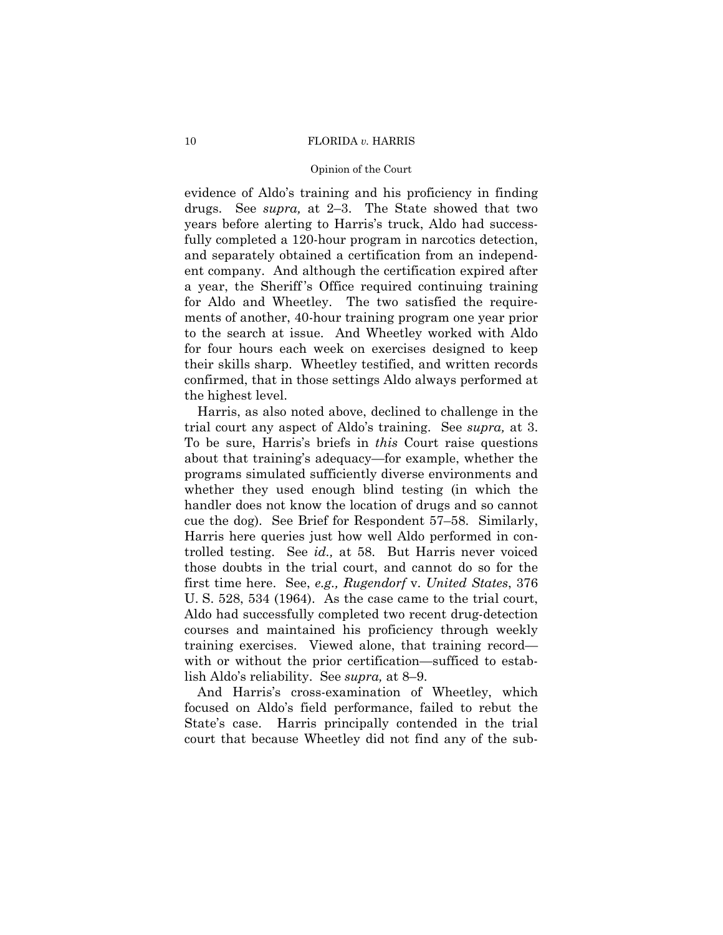#### Opinion of the Court

evidence of Aldo's training and his proficiency in finding drugs. See *supra,* at 2–3. The State showed that two years before alerting to Harris's truck, Aldo had successfully completed a 120-hour program in narcotics detection, and separately obtained a certification from an independent company. And although the certification expired after a year, the Sheriff 's Office required continuing training for Aldo and Wheetley. The two satisfied the requirements of another, 40-hour training program one year prior to the search at issue. And Wheetley worked with Aldo for four hours each week on exercises designed to keep their skills sharp. Wheetley testified, and written records confirmed, that in those settings Aldo always performed at the highest level.

 trial court any aspect of Aldo's training. See *supra,* at 3. To be sure, Harris's briefs in *this* Court raise questions  U. S. 528, 534 (1964). As the case came to the trial court, Harris, as also noted above, declined to challenge in the about that training's adequacy—for example, whether the programs simulated sufficiently diverse environments and whether they used enough blind testing (in which the handler does not know the location of drugs and so cannot cue the dog). See Brief for Respondent 57–58. Similarly, Harris here queries just how well Aldo performed in controlled testing. See *id.,* at 58. But Harris never voiced those doubts in the trial court, and cannot do so for the first time here. See, *e.g., Rugendorf* v. *United States*, 376 Aldo had successfully completed two recent drug-detection courses and maintained his proficiency through weekly training exercises. Viewed alone, that training record with or without the prior certification—sufficed to establish Aldo's reliability. See *supra,* at 8–9.

And Harris's cross-examination of Wheetley, which focused on Aldo's field performance, failed to rebut the State's case. Harris principally contended in the trial court that because Wheetley did not find any of the sub-